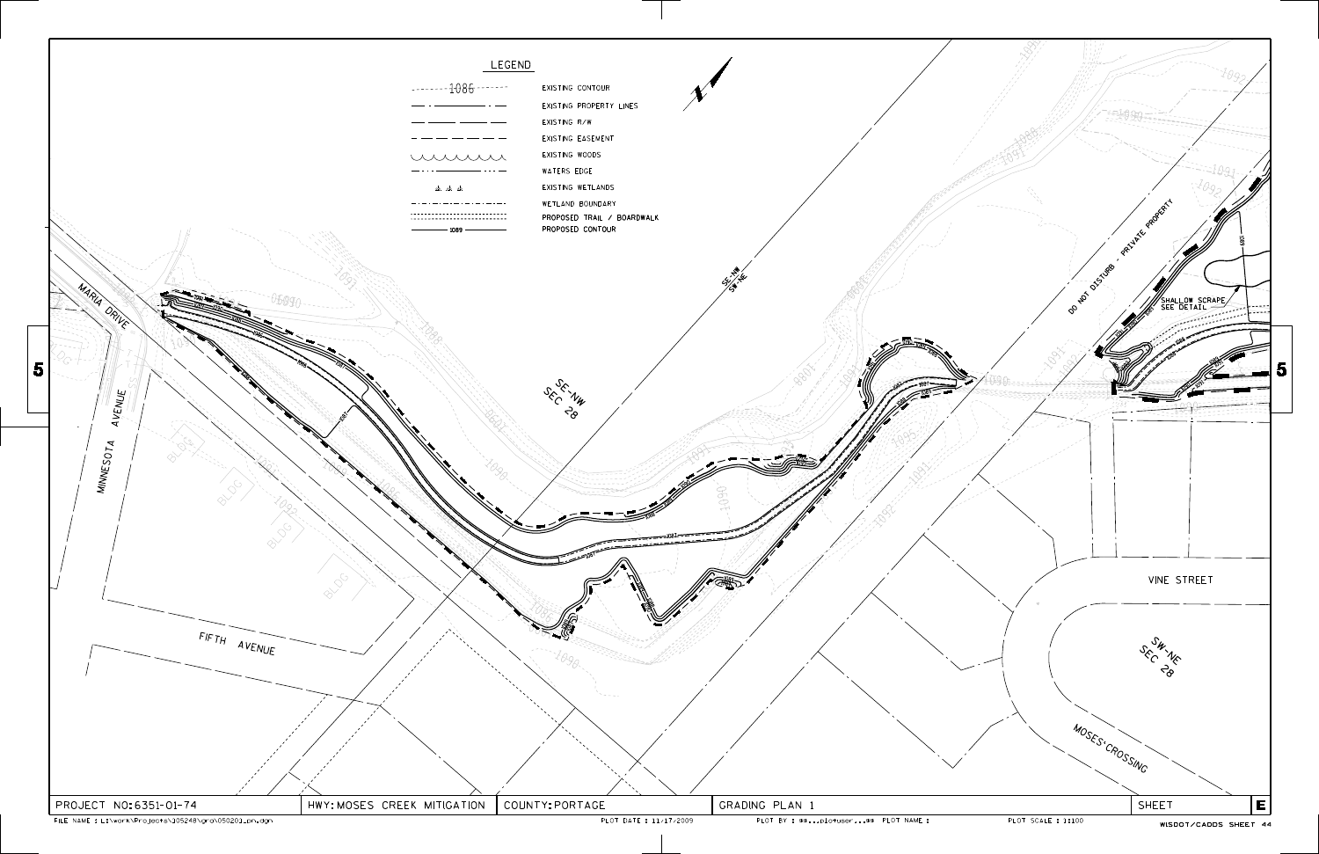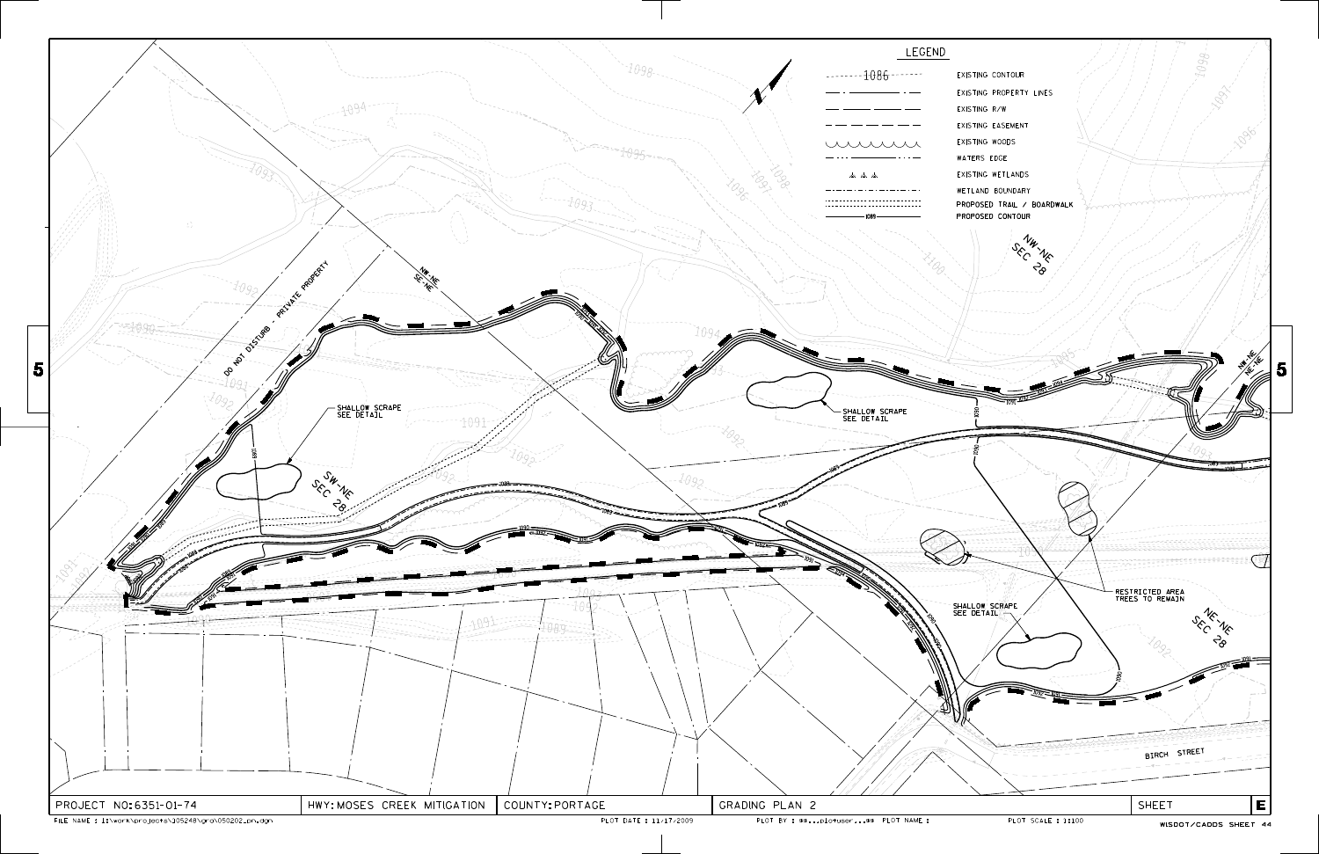